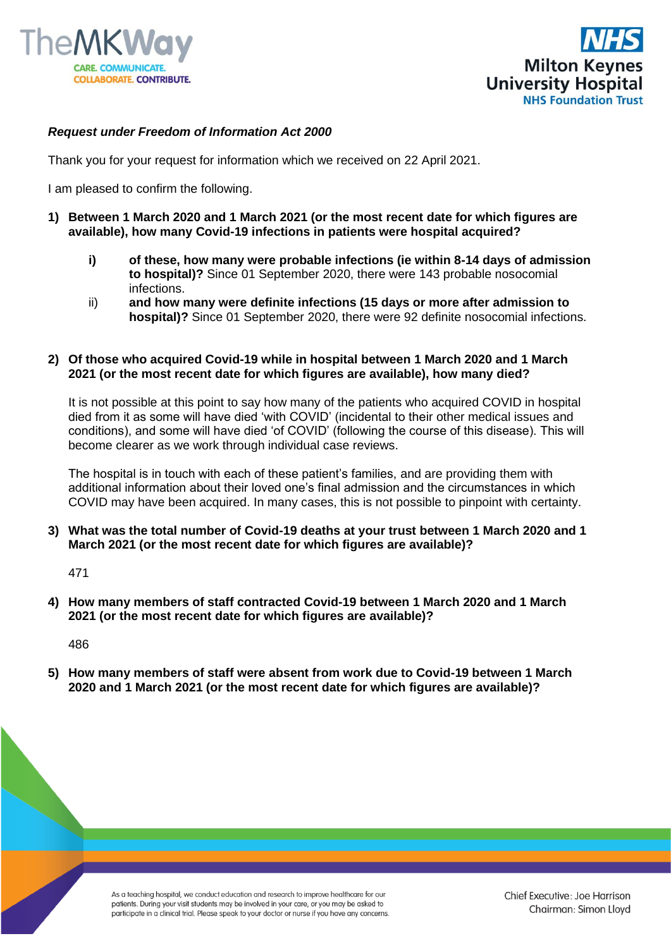



## *Request under Freedom of Information Act 2000*

Thank you for your request for information which we received on 22 April 2021.

I am pleased to confirm the following.

- **1) Between 1 March 2020 and 1 March 2021 (or the most recent date for which figures are available), how many Covid-19 infections in patients were hospital acquired?**
	- **i) of these, how many were probable infections (ie within 8-14 days of admission to hospital)?** Since 01 September 2020, there were 143 probable nosocomial infections.
	- ii) **and how many were definite infections (15 days or more after admission to hospital)?** Since 01 September 2020, there were 92 definite nosocomial infections.

## **2) Of those who acquired Covid-19 while in hospital between 1 March 2020 and 1 March 2021 (or the most recent date for which figures are available), how many died?**

It is not possible at this point to say how many of the patients who acquired COVID in hospital died from it as some will have died 'with COVID' (incidental to their other medical issues and conditions), and some will have died 'of COVID' (following the course of this disease). This will become clearer as we work through individual case reviews.

The hospital is in touch with each of these patient's families, and are providing them with additional information about their loved one's final admission and the circumstances in which COVID may have been acquired. In many cases, this is not possible to pinpoint with certainty.

**3) What was the total number of Covid-19 deaths at your trust between 1 March 2020 and 1 March 2021 (or the most recent date for which figures are available)?**

471

**4) How many members of staff contracted Covid-19 between 1 March 2020 and 1 March 2021 (or the most recent date for which figures are available)?**

486

**5) How many members of staff were absent from work due to Covid-19 between 1 March 2020 and 1 March 2021 (or the most recent date for which figures are available)?**

> As a teaching hospital, we conduct education and research to improve healthcare for our patients. During your visit students may be involved in your care, or you may be asked to participate in a clinical trial. Please speak to your doctor or nurse if you have any concerns.